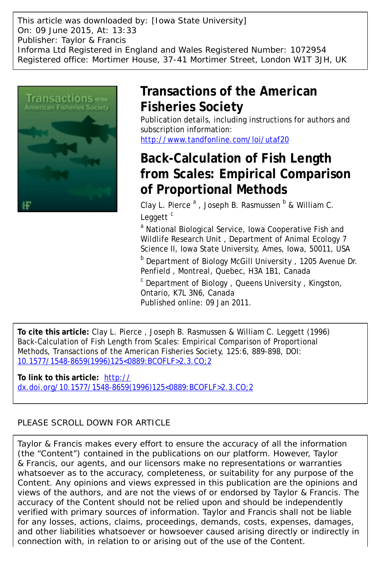This article was downloaded by: [Iowa State University] On: 09 June 2015, At: 13:33 Publisher: Taylor & Francis Informa Ltd Registered in England and Wales Registered Number: 1072954 Registered office: Mortimer House, 37-41 Mortimer Street, London W1T 3JH, UK



## **Transactions of the American Fisheries Society**

Publication details, including instructions for authors and subscription information: <http://www.tandfonline.com/loi/utaf20>

# **Back-Calculation of Fish Length from Scales: Empirical Comparison**

**of Proportional Methods**

Clay L. Pierce<sup>a</sup>, Joseph B. Rasmussen <sup>b</sup> & William C. Leggett $<sup>c</sup>$ </sup>

<sup>a</sup> National Biological Service, Iowa Cooperative Fish and Wildlife Research Unit , Department of Animal Ecology 7 Science II, Iowa State University, Ames, Iowa, 50011, USA

**b** Department of Biology McGill University, 1205 Avenue Dr. Penfield , Montreal, Quebec, H3A 1B1, Canada

<sup>c</sup> Department of Biology, Queens University, Kingston, Ontario, K7L 3N6, Canada Published online: 09 Jan 2011.

**To cite this article:** Clay L. Pierce , Joseph B. Rasmussen & William C. Leggett (1996) Back-Calculation of Fish Length from Scales: Empirical Comparison of Proportional Methods, Transactions of the American Fisheries Society, 125:6, 889-898, DOI: [10.1577/1548-8659\(1996\)125<0889:BCOFLF>2.3.CO;2](http://www.tandfonline.com/action/showCitFormats?doi=10.1577/1548-8659(1996)125<0889:BCOFLF>2.3.CO;2)

**To link to this article:** [http://](http://dx.doi.org/10.1577/1548-8659(1996)125<0889:BCOFLF>2.3.CO;2) [dx.doi.org/10.1577/1548-8659\(1996\)125<0889:BCOFLF>2.3.CO;2](http://dx.doi.org/10.1577/1548-8659(1996)125<0889:BCOFLF>2.3.CO;2)

## PLEASE SCROLL DOWN FOR ARTICLE

Taylor & Francis makes every effort to ensure the accuracy of all the information (the "Content") contained in the publications on our platform. However, Taylor & Francis, our agents, and our licensors make no representations or warranties whatsoever as to the accuracy, completeness, or suitability for any purpose of the Content. Any opinions and views expressed in this publication are the opinions and views of the authors, and are not the views of or endorsed by Taylor & Francis. The accuracy of the Content should not be relied upon and should be independently verified with primary sources of information. Taylor and Francis shall not be liable for any losses, actions, claims, proceedings, demands, costs, expenses, damages, and other liabilities whatsoever or howsoever caused arising directly or indirectly in connection with, in relation to or arising out of the use of the Content.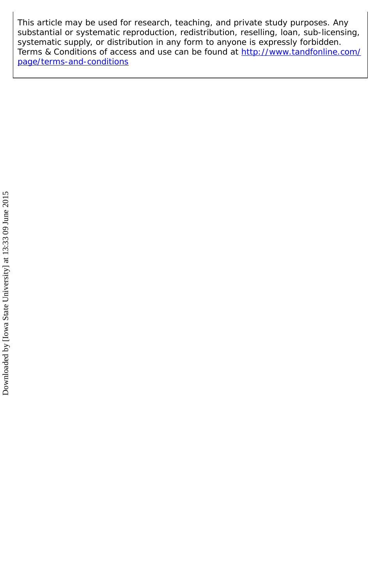This article may be used for research, teaching, and private study purposes. Any substantial or systematic reproduction, redistribution, reselling, loan, sub-licensing, systematic supply, or distribution in any form to anyone is expressly forbidden. Terms & Conditions of access and use can be found at [http://www.tandfonline.com/](http://www.tandfonline.com/page/terms-and-conditions) [page/terms-and-conditions](http://www.tandfonline.com/page/terms-and-conditions)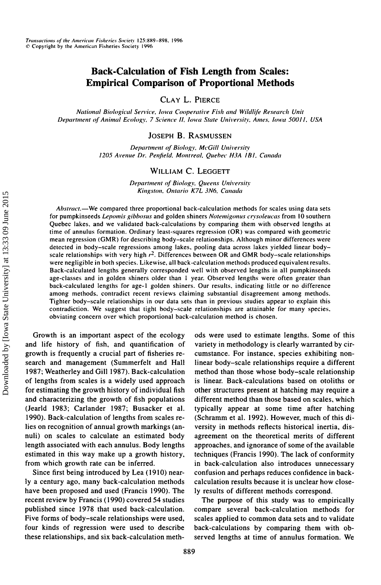### **Back-Calculation of Fish Length from Scales: Empirical Comparison of Proportional Methods**

CLAY L. PIERCE

*National Biological Sendee, Iowa Cooperative Fish and Wildlife Research Unit Department of Animal Ecology, 7 Science II, Iowa State University. Antes, Iowa 50011, USA*

JOSEPH B. RASMUSSEN

*Department of Biology, McGill University 1205 Avenue Dr. Penfteld. Montreal. Quebec H3A IBI . Canada*

#### WILLIAM C. LEGGETT

*Department of Biology, Queens University Kingston. Ontario K7L 3N6, Canada*

*Abstract.—*We compared three proportional back-calculation methods for scales using data sets for pumpkinseeds *Lepomis gibbosus* and golden shiners *Notemigonus crysoleucas* from 10 southern Quebec lakes, and we validated back-calculations by comparing them with observed lengths at lime of annulus formation. Ordinary least-squares regression (OR) was compared with geometric mean regression (GMR) for describing body-scale relationships. Although minor differences were detected in body-scale regressions among lakes, pooling data across lakes yielded linear bodyscale relationships with very high *r 2 .* Differences between OR and GMR body-scale relationships were negligible in both species. Likewise, all back-calculation methods produced equivalent results. Back-calculated lengths generally corresponded well with observed lengths in all pumpkinseeds age-classes and in golden shiners older than 1 year. Observed lengths were often greater than back-calculated lengths for age-1 golden shiners. Our results, indicating little or no difference among methods, contradict recent reviews claiming substantial disagreement among methods. Tighter body-scale relationships in our data sets than in previous studies appear to explain this contradiction. We suggest that light body-scale relationships are attainable for many species, obviating concern over which proportional back-calculation method is chosen.

1990). Back-calculation of lengths from scales re- (Schramm et al. 1992). However, much of this dilies on recognition of annual growth markings (an- versity in methods reflects historical inertia, dis-

have been proposed and used (Francis 1990). The ly results of different methods correspond. recent review by Francis (1990) covered 54 studies The purpose of this study was to empirically Five forms of body-scale relationships were used, scales applied to common data sets and to validate four kinds of regression were used to describe back-calculations by comparing them with obthese relationships, and six back-calculation meth- served lengths at time of annulus formation. We

Growth is an important aspect of the ecology ods were used to estimate lengths. Some of this and life history of fish, and quantification of variety in methodology is clearly warranted by cirgrowth is frequently a crucial part of fisheries re- cumstance. For instance, species exhibiting nonsearch and management (Summerfelt and Hall linear body-scale relationships require a different 1987; Weatherley and Gill 1987). Back-calculation method than those whose body-scale relationship of lengths from scales is a widely used approach is linear. Back-calculations based on otoliths or for estimating the growth history of individual fish other structures present at hatching may require a and characterizing the growth of fish populations different method than those based on scales, which (Jearld 1983; Carlander 1987; Busacker et al. typically appear at some time after hatching nuli) on scales to calculate an estimated body agreement on the theoretical merits of different length associated with each annulus. Body lengths approaches, and ignorance of some of the available estimated in this way make up a growth history, techniques (Francis 1990). The lack of conformity from which growth rate can be inferred. in back-calculation also introduces unnecessary Since first being introduced by Lea (1910) near- confusion and perhaps reduces confidence in backly a century ago, many back-calculation methods calculation results because it is unclear how close-

published since 1978 that used back-calculation, compare several back-calculation methods for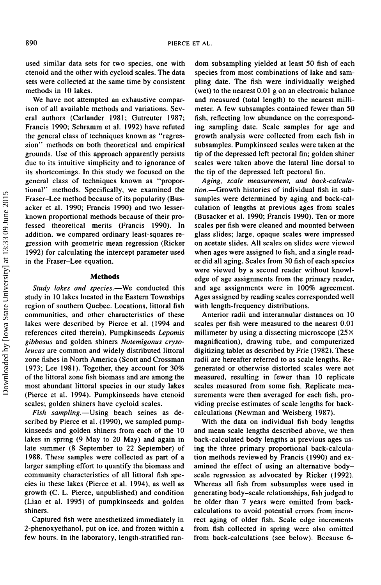used similar data sets for two species, one with ctenoid and the other with cycloid scales. The data sets were collected at the same time by consistent methods in 10 lakes.

We have not attempted an exhaustive comparison of all available methods and variations. Several authors (Carlander 1981; Gutreuter 1987; Francis 1990; Schramm et al. 1992) have refuted the general class of techniques known as "regression" methods on both theoretical and empirical grounds. Use of this approach apparently persists due to its intuitive simplicity and to ignorance of its shortcomings. In this study we focused on the general class of techniques known as "proportional" methods. Specifically, we examined the Fraser-Lee method because of its popularity (Busacker et al. 1990; Francis 1990) and two lesserknown proportional methods because of their professed theoretical merits (Francis 1990). In addition, we compared ordinary least-squares regression with geometric mean regression (Ricker 1992) for calculating the intercept parameter used in the Fraser-Lee equation.

#### **Methods**

Study lakes and species.—We conducted this study in 10 lakes located in the Eastern Townships region of southern Quebec. Locations, littoral fish communities, and other characteristics of these lakes were described by Pierce et al. (1994 and references cited therein). Pumpkinseeds *Lepomis gibbosus* and golden shiners *Notemigonus crysoleucas* are common and widely distributed littoral zone fishes in North America (Scott and Crossman 1973; Lee 1981). Together, they account for 30% of the littoral zone fish biomass and are among the most abundant littoral species in our study lakes (Pierce et al. 1994). Pumpkinseeds have ctenoid scales; golden shiners have cycloid scales.

*Fish sampling.—*Using beach seines as described by Pierce et al. (1990), we sampled pumpkinseeds and golden shiners from each of the 10 lakes in spring (9 May to 20 May) and again in late summer (8 September to 22 September) of 1988. These samples were collected as part of a larger sampling effort to quantify the biomass and community characteristics of all littoral fish species in these lakes (Pierce et al. 1994), as well as growth (C. L. Pierce, unpublished) and condition (Liao et al. 1995) of pumpkinseeds and golden shiners.

Captured fish were anesthetized immediately in 2-phenoxyethanol, put on ice, and frozen within a few hours. In the laboratory, length-stratified random subsampling yielded at least 50 fish of each species from most combinations of lake and sampling date. The fish were individually weighed (wet) to the nearest 0.01 g on an electronic balance and measured (total length) to the nearest millimeter. A few subsamples contained fewer than 50 fish, reflecting low abundance on the corresponding sampling date. Scale samples for age and growth analysis were collected from each fish in subsamples. Pumpkinseed scales were taken at the tip of the depressed left pectoral fin; golden shiner scales were taken above the lateral line dorsal to the tip of the depressed left pectoral fin.

*Aging, scale measurement, and back-calculation.—*Growth histories of individual fish in subsamples were determined by aging and back-calculation of lengths at previous ages from scales (Busacker et al. 1990; Francis 1990). Ten or more scales per fish were cleaned and mounted between glass slides; large, opaque scales were impressed on acetate slides. All scales on slides were viewed when ages were assigned to fish, and a single reader did all aging. Scales from 30 fish of each species were viewed by a second reader without knowledge of age assignments from the primary reader, and age assignments were in 100% agreement. Ages assigned by reading scales corresponded well with length-frequency distributions.

Anterior radii and interannular distances on 10 scales per fish were measured to the nearest 0.01 millimeter by using a dissecting microscope  $(25 \times$ magnification), drawing tube, and computerized digitizing tablet as described by Frie (1982). These radii are hereafter referred to as scale lengths. Regenerated or otherwise distorted scales were not measured, resulting in fewer than 10 replicate scales measured from some fish. Replicate measurements were then averaged for each fish, providing precise estimates of scale lengths for backcalculations (Newman and Weisberg 1987).

With the data on individual fish body lengths and mean scale lengths described above, we then back-calculated body lengths at previous ages using the three primary proportional back-calculation methods reviewed by Francis (1990) and examined the effect of using an alternative bodyscale regression as advocated by Ricker (1992). Whereas all fish from subsamples were used in generating body-scale relationships, fish judged to be older than 7 years were omitted from backcalculations to avoid potential errors from incorrect aging of older fish. Scale edge increments from fish collected in spring were also omitted from back-calculations (see below). Because 6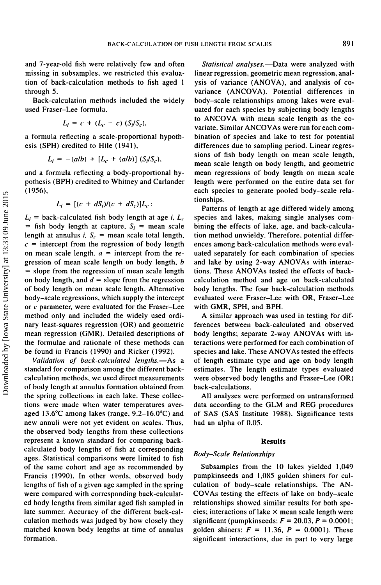and 7-year-old fish were relatively few and often missing in subsamples, we restricted this evaluation of back-calculation methods to fish aged 1 through 5.

Back-calculation methods included the widely used Fraser-Lee formula,

$$
L_i = c + (L_c - c) (S_i/S_c),
$$

a formula reflecting a scale-proportional hypothesis (SPH) credited to Hile (1941),

$$
L_i = -(a/b) + [L_c + (a/b)] (S_i/S_c),
$$

and a formula reflecting a body-proportional hypothesis (BPH) credited to Whitney and Carlander (1956),

$$
L_i = [(c + dS_i)/(c + dS_c)]L_c;
$$

 $L_i$  = back-calculated fish body length at age *i*,  $L_c$  $=$  fish body length at capture,  $S_i$  = mean scale length at annulus *i*,  $S_c$  = mean scale total length,  $c =$  intercept from the regression of body length on mean scale length, *a =* intercept from the regression of mean scale length on body length, *b -* slope from the regression of mean scale length on body length, and  $d =$  slope from the regression of body length on mean scale length. Alternative body-scale regressions, which supply the intercept or *c* parameter, were evaluated for the Fraser-Lee method only and included the widely used ordinary least-squares regression (OR) and geometric mean regression (GMR). Detailed descriptions of the formulae and rationale of these methods can be found in Francis (1990) and Ricker (1992).

*Validation of back-calculated lengths.—*As a standard for comparison among the different backcalculation methods, we used direct measurements of body length at annulus formation obtained from the spring collections in each lake. These collections were made when water temperatures averaged 13.6°C among lakes (range, 9.2-16.0°C) and new annuli were not yet evident on scales. Thus, the observed body lengths from these collections represent a known standard for comparing backcalculated body lengths of fish at corresponding ages. Statistical comparisons were limited to fish of the same cohort and age as recommended by Francis (1990). In other words, observed body lengths of fish of a given age sampled in the spring were compared with corresponding back-calculated body lengths from similar aged fish sampled in late summer. Accuracy of the different back-calculation methods was judged by how closely they matched known body lengths at time of annulus formation.

*Statistical analyses.—*Data were analyzed with linear regression, geometric mean regression, analysis of variance (ANOVA), and analysis of covariance (ANCOVA). Potential differences in body-scale relationships among lakes were evaluated for each species by subjecting body lengths to ANCOVA with mean scale length as the covariate. Similar ANCOVAs were run for each combination of species and lake to test for potential differences due to sampling period. Linear regressions of fish body length on mean scale length, mean scale length on body length, and geometric mean regressions of body length on mean scale length were performed on the entire data set for each species to generate pooled body-scale relationships.

Patterns of length at age differed widely among species and lakes, making single analyses combining the effects of lake, age, and back-calculation method unwieldy. Therefore, potential differences among back-calculation methods were evaluated separately for each combination of species and lake by using 2-way ANOVAs with interactions. These ANOVAs tested the effects of backcalculation method and age on back-calculated body lengths. The four back-calculation methods evaluated were Fraser-Lee with OR, Fraser-Lee with GMR, SPH, and BPH.

A similar approach was used in testing for differences between back-calculated and observed body lengths; separate 2-way ANOVAs with interactions were performed for each combination of species and lake. These ANOVAs tested the effects of length estimate type and age on body length estimates. The length estimate types evaluated were observed body lengths and Fraser-Lee (OR) back-calculations.

All analyses were performed on untransformed data according to the GLM and REG procedures of SAS (SAS Institute 1988). Significance tests had an alpha of 0.05.

#### **Results**

#### *Body-Scale Relationships*

Subsamples from the 10 lakes yielded 1,049 pumpkinseeds and 1,085 golden shiners for calculation of body-scale relationships. The AN-COVAs testing the effects of lake on body-scale relationships showed similar results for both species; interactions of lake  $\times$  mean scale length were significant (pumpkinseeds:  $F = 20.03$ ,  $P = 0.0001$ ; golden shiners:  $F = 11.36$ ,  $P = 0.0001$ ). These significant interactions, due in part to very large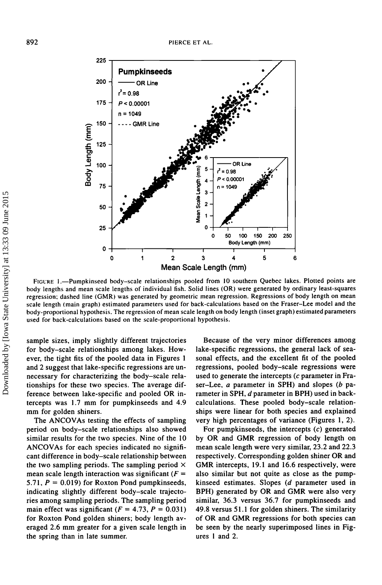

FIGURE I.—Pumpkinseed body-scale relationships pooled from 10 southern Quebec lakes. Plotted points are body lengths and mean scale lengths of individual fish. Solid lines (OR) were generated by ordinary least-squares regression; dashed line (GMR) was generated by geometric mean regression. Regressions of body length on mean scale length (main graph) estimated parameters used for back-calculations based on the Fraser-Lee model and the body-proportional hypothesis. The regression of mean scale length on body length (inset graph) estimated parameters used for back-calculations based on the scale-proportional hypothesis.

sample sizes, imply slightly different trajectories for body-scale relationships among lakes. However, the tight fits of the pooled data in Figures 1 and 2 suggest that lake-specific regressions are unnecessary for characterizing the body-scale relationships for these two species. The average difference between lake-specific and pooled OR intercepts was 1.7 mm for pumpkinseeds and 4.9 mm for golden shiners.

The ANCOVAs testing the effects of sampling period on body-scale relationships also showed similar results for the two species. Nine of the 10 ANCOVAs for each species indicated no significant difference in body-scale relationship between the two sampling periods. The sampling period  $\times$ mean scale length interaction was significant  $(F =$ 5.71,  $P = 0.019$  for Roxton Pond pumpkinseeds, indicating slightly different body-scale trajectories among sampling periods. The sampling period main effect was significant  $(F = 4.73, P = 0.031)$ for Roxton Pond golden shiners; body length averaged 2.6 mm greater for a given scale length in the spring than in late summer. university<br>  $\frac{3}{2}$ <br>  $\frac{3}{2}$ <br>  $\frac{3}{2}$ <br>  $\frac{3}{2}$ <br>  $\frac{3}{2}$ <br>  $\frac{3}{2}$ <br>  $\frac{3}{2}$ <br>  $\frac{3}{2}$ <br>  $\frac{3}{2}$ <br>  $\frac{3}{2}$ <br>  $\frac{3}{2}$ <br>  $\frac{3}{2}$ <br>  $\frac{3}{2}$ <br>  $\frac{3}{2}$ <br>  $\frac{3}{2}$ <br>  $\frac{3}{2}$ <br>  $\frac{3}{2}$ <br>  $\frac{3}{2}$ <br>  $\frac{3}{2}$ <br>

Because of the very minor differences among lake-specific regressions, the general lack of seasonal effects, and the excellent fit of the pooled regressions, pooled body-scale regressions were used to generate the intercepts *(c* parameter in Fraser-Lee, *a* parameter in SPH) and slopes *(b* parameter in SPH, *d* parameter in BPH) used in backcalculations. These pooled body-scale relationships were linear for both species and explained very high percentages of variance (Figures 1,2).

For pumpkinseeds, the intercepts *(c)* generated by OR and GMR regression of body length on mean scale length were very similar, 23.2 and 22.3 respectively. Corresponding golden shiner OR and GMR intercepts, 19.1 and 16.6 respectively, were also similar but not quite as close as the pumpkinseed estimates. Slopes *(d* parameter used in BPH) generated by OR and GMR were also very similar, 36.3 versus 36.7 for pumpkinseeds and 49.8 versus 51.1 for golden shiners. The similarity of OR and GMR regressions for both species can be seen by the nearly superimposed lines in Fig-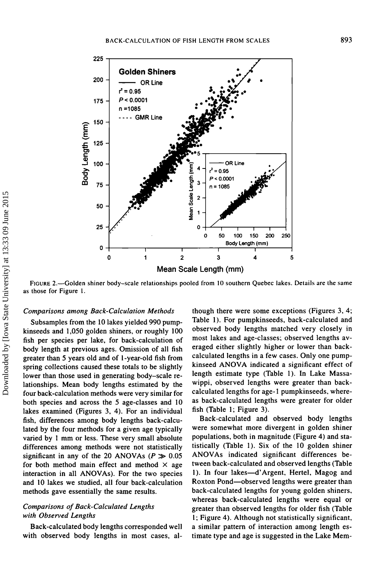

FIGURE 2.—Golden shiner body-scale relationships pooled from 10 southern Quebec lakes. Details are the same as those for Figure 1.

#### *Comparisons among Back-Calculation Methods*

Subsamples from the 10 lakes yielded 990 pumpkinseeds and 1,050 golden shiners, or roughly 100 fish per species per lake, for back-calculation of body length at previous ages. Omission of all fish greater than 5 years old and of I-year-old fish from spring collections caused these totals to be slightly lower than those used in generating body-scale relationships. Mean body lengths estimated by the four back-calculation methods were very similar for both species and across the 5 age-classes and 10 lakes examined (Figures 3, 4). For an individual fish, differences among body lengths back-calculated by the four methods for a given age typically varied by 1 mm or less. These very small absolute differences among methods were not statistically significant in any of the 20 ANOVAs ( $P \gg 0.05$ ) for both method main effect and method  $\times$  age interaction in all ANOVAs). For the two species and 10 lakes we studied, all four back-calculation methods gave essentially the same results.

#### *Comparisons of Back-Calculated Lengths with Observed Lengths*

Back-calculated body lengths corresponded well with observed body lengths in most cases, although there were some exceptions (Figures 3, 4; Table 1). For pumpkinseeds, back-calculated and observed body lengths matched very closely in most lakes and age-classes; observed lengths averaged either slightly higher or lower than backcalculated lengths in a few cases. Only one pumpkinseed ANOVA indicated a significant effect of length estimate type (Table 1). In Lake Massawippi, observed lengths were greater than backcalculated lengths for age-1 pumpkinseeds, whereas back-calculated lengths were greater for older fish (Table 1; Figure 3).

Back-calculated and observed body lengths were somewhat more divergent in golden shiner populations, both in magnitude (Figure 4) and statistically (Table 1). Six of the 10 golden shiner ANOVAs indicated significant differences between back-calculated and observed lengths (Table 1). In four lakes—d'Argent, Hertel, Magog and Roxton Pond—observed lengths were greater than back-calculated lengths for young golden shiners, whereas back-calculated lengths were equal or greater than observed lengths for older fish (Table 1; Figure 4). Although not statistically significant, a similar pattern of interaction among length estimate type and age is suggested in the Lake Mem-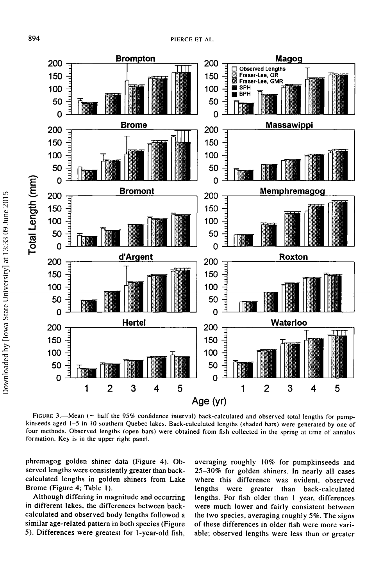

FIGURE 3.—Mean (+ half the 95% confidence interval) back-calculated and observed total lengths for pumpkinseeds aged 1-5 in 10 southern Quebec lakes. Back-calculated lengths (shaded bars) were generated by one of four methods. Observed lengths (open bars) were obtained from fish collected in the spring at time of annulus formation. Key is in the upper right panel.

phremagog golden shiner data (Figure 4). Observed lengths were consistently greater than backcalculated lengths in golden shiners from Lake Brome (Figure 4; Table 1).

Although differing in magnitude and occurring in different lakes, the differences between backcalculated and observed body lengths followed a similar age-related pattern in both species (Figure 5). Differences were greatest for 1-year-old fish,

averaging roughly 10% for pumpkinseeds and 25-30% for golden shiners. In nearly all cases where this difference was evident, observed lengths were greater than back-calculated lengths. For fish older than 1 year, differences were much lower and fairly consistent between the two species, averaging roughly 5%. The signs of these differences in older fish were more variable; observed lengths were less than or greater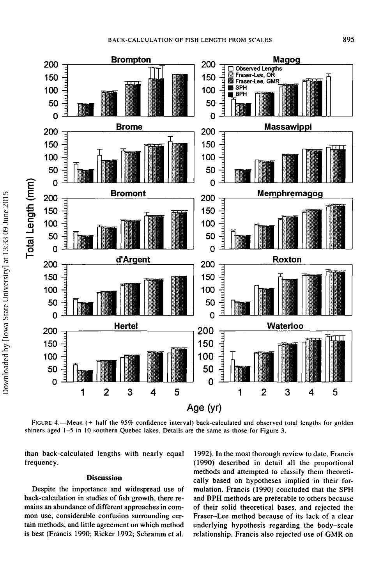

FIGURE 4.—Mean (+ half the 95% confidence interval) back-calculated and observed total lengths for golden shiners aged 1-5 in 10 southern Quebec lakes. Details are the same as those for Figure 3.

than back-calculated lengths with nearly equal frequency.

#### **Discussion**

Despite the importance and widespread use of back-calculation in studies of fish growth, there remains an abundance of different approaches in common use, considerable confusion surrounding certain methods, and little agreement on which method is best (Francis 1990; Ricker 1992; Schramm et al.

1992). In the most thorough review to date, Francis (1990) described in detail all the proportional methods and attempted to classify them theoretically based on hypotheses implied in their formulation. Francis (1990) concluded that the SPH and BPH methods are preferable to others because of their solid theoretical bases, and rejected the Fraser-Lee method because of its lack of a clear underlying hypothesis regarding the body-scale relationship. Francis also rejected use of GMR on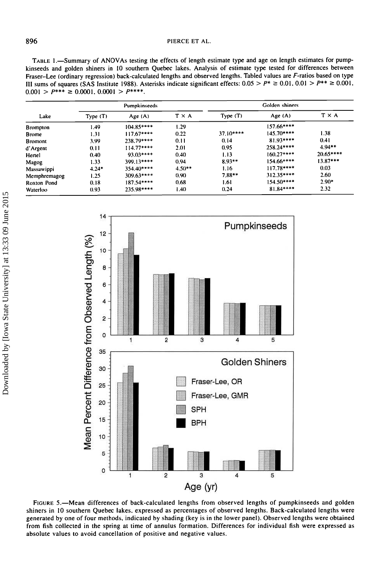TABLE 1.—Summary of<br>
kinseeds and golden shin<br>
Fraser-Lee (ordinary regre<br>
III sums of squares (SAS<br>  $0.001 > P^{***} \ge 0.0001$ . and<br>
<sub>g</sub>  $_{\rm en}$ ary.

| Lake            | Pumpkinseeds |             |                | Golden shiners |             |              |
|-----------------|--------------|-------------|----------------|----------------|-------------|--------------|
|                 | Type $(T)$   | Age (A)     | T X A          | Type(T)        | Age (A)     | $T \times A$ |
| <b>Brompton</b> | 1.49         | 104.85****  | 1.29           |                | $157.66***$ |              |
| <b>Brome</b>    | 1.31         | $117.67***$ | 0.22           | $37.10***$     | $145.70***$ | 1.38         |
| Bromont         | 3.99         | 238.79****  | 011            | 0.14           | 81.93****   | 0.41         |
| d'Argent        | 0.11         | $114.77***$ | 2.01           | 0.95           | 258.24****  | $4.94**$     |
| Hertel          | 0.40         | $93.03***$  | 0.40           | 1.13           | $160.27***$ | $20.65***$   |
| Magog           | 1.33         | 399.13****  | 0.94           | $8.93**$       | $154.66***$ | $13.87***$   |
| Massawippi      | $4.24*$      | $354.40***$ | $4.50**$       | 1.16           | 117.78****  | 0.03         |
| Memphremagog    | 1.25         | $309.63***$ | $0.90^{\circ}$ | 7.88**         | $312.35***$ | 2.60         |
| Roxton Pond     | 0.18         | $187.54***$ | 0.68           | 1.61           | $154.50***$ | $2.90*$      |
| Waterloo        | 0.93         | 235.98****  | 1.40.          | 0.24           | 81.84****   | 2.32         |



generate<br>r̃om fis<br>ibsolute S S.—Mean differences<br>ers in 10 southern Quebec I<br>erated by one of four method<br>n fish collected in the sprint  $5.$ —Mean different Queby one of four n<br>collected in the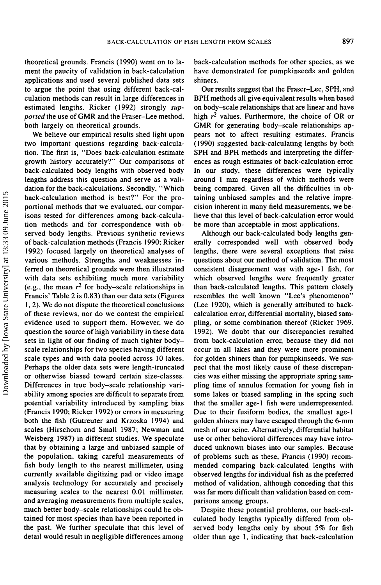theoretical grounds. Francis (1990) went on to lament the paucity of validation in back-calculation applications and used several published data sets to argue the point that using different back-calculation methods can result in large differences in estimated lengths. Ricker (1992) strongly *supported* the use of GMR and the Fraser-Lee method, both largely on theoretical grounds.

We believe our empirical results shed light upon two important questions regarding back-calculation. The first is, "Does back-calculation estimate growth history accurately?" Our comparisons of back-calculated body lengths with observed body lengths address this question and serve as a validation for the back-calculations. Secondly, "Which back-calculation method is best?" For the proportional methods that we evaluated, our comparisons tested for differences among back-calculation methods and for correspondence with observed body lengths. Previous synthetic reviews of back-calculation methods (Francis 1990; Ricker 1992) focused largely on theoretical analyses of various methods. Strengths and weaknesses inferred on theoretical grounds were then illustrated with data sets exhibiting much more variability (e.g., the mean  $r^2$  for body-scale relationships in Francis' Table 2 is 0.83) than our data sets (Figures 1, 2). We do not dispute the theoretical conclusions of these reviews, nor do we contest the empirical evidence used to support them. However, we do question the source of high variability in these data sets in light of our finding of much tighter bodyscale relationships for two species having different scale types and with data pooled across 10 lakes. Perhaps the older data sets were length-truncated or otherwise biased toward certain size-classes. Differences in true body-scale relationship variability among species are difficult to separate from potential variability introduced by sampling bias (Francis 1990; Ricker 1992) or errors in measuring both the fish (Gutreuter and Krzoska 1994) and scales (Hirschorn and Small 1987; Newman and Weisberg 1987) in different studies. We speculate that by obtaining a large and unbiased sample of the population, taking careful measurements of fish body length to the nearest millimeter, using currently available digitizing pad or video image analysis technology for accurately and precisely measuring scales to the nearest 0.01 millimeter, and averaging measurements from multiple scales, much better body-scale relationships could be obtained for most species than have been reported in the past. We further speculate that this level of detail would result in negligible differences among

back-calculation methods for other species, as we have demonstrated for pumpkinseeds and golden shiners.

Our results suggest that the Fraser-Lee, SPH, and BPH methods all give equivalent results when based on body-scale relationships that are linear and have high  $r^2$  values. Furthermore, the choice of OR or GMR for generating body-scale relationships appears not to affect resulting estimates. Francis (1990) suggested back-calculating lengths by both SPH and BPH methods and interpreting the differences as rough estimates of back-calculation error. In our study, these differences were typically around 1 mm regardless of which methods were being compared. Given all the difficulties in obtaining unbiased samples and the relative imprecision inherent in many field measurements, we believe that this level of back-calculation error would be more than acceptable in most applications.

Although our back-calculated body lengths generally corresponded well with observed body lengths, there were several exceptions that raise questions about our method of validation. The most consistent disagreement was with age-1 fish, for which observed lengths were frequently greater than back-calculated lengths. This pattern closely resembles the well known "Lee's phenomenon" (Lee 1920), which is generally attributed to backcalculation error, differential mortality, biased sampling, or some combination thereof (Ricker 1969, 1992). We doubt that our discrepancies resulted from back-calculation error, because they did not occur in all lakes and they were more prominent for golden shiners than for pumpkinseeds. We suspect that the most likely cause of these discrepancies was either missing the appropriate spring sampling time of annulus formation for young fish in some lakes or biased sampling in the spring such that the smaller age-1 fish were underrepresented. Due to their fusiform bodies, the smallest age-1 golden shiners may have escaped through the 6-mm mesh of our seine. Alternatively, differential habitat use or other behavioral differences may have introduced unknown biases into our samples. Because of problems such as these, Francis (1990) recommended comparing back-calculated lengths with observed lengths for individual fish as the preferred method of validation, although conceding that this was far more difficult than validation based on comparisons among groups.

Despite these potential problems, our back-calculated body lengths typically differed from observed body lengths only by about 5% for fish older than age 1, indicating that back-calculation